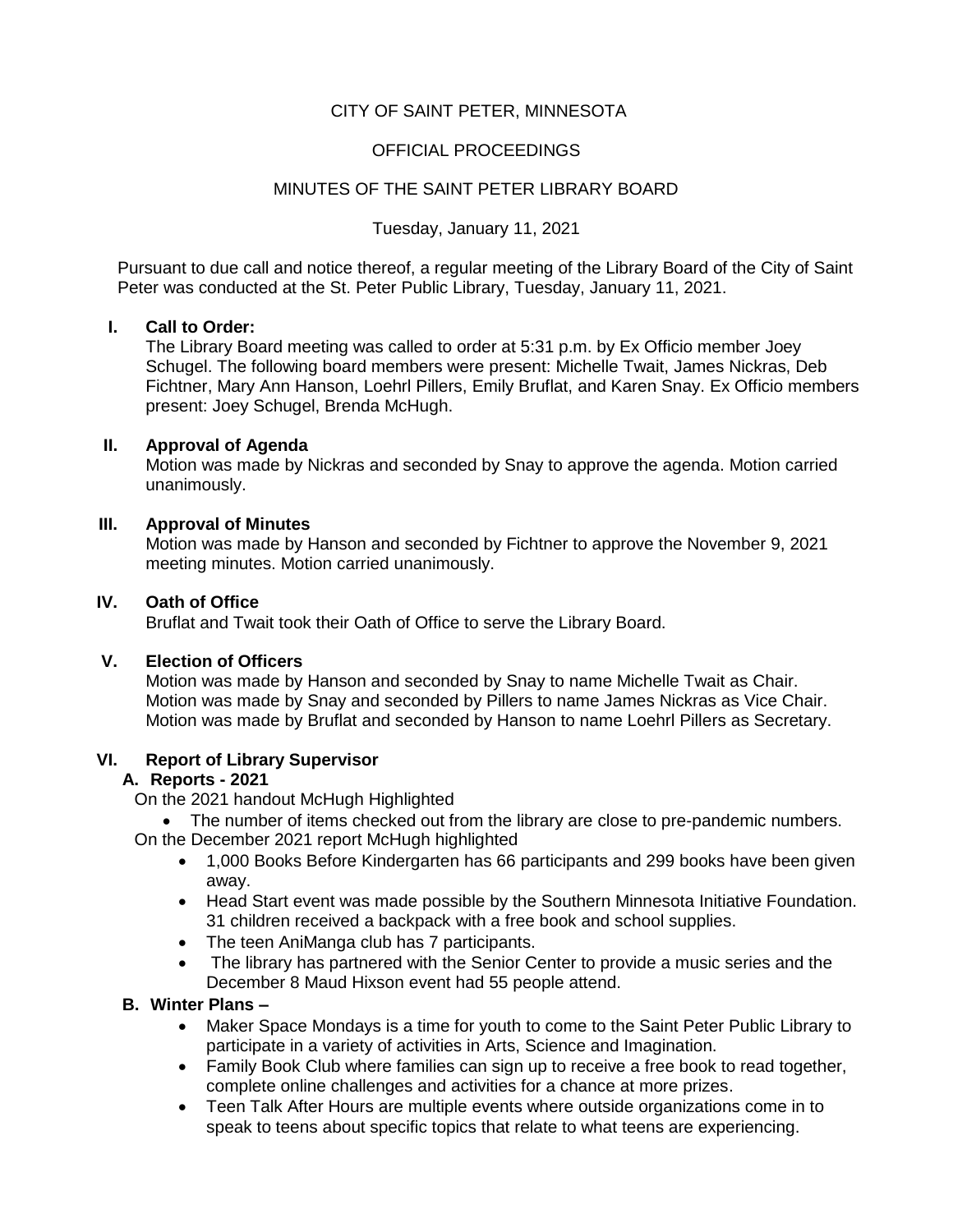# CITY OF SAINT PETER, MINNESOTA

## OFFICIAL PROCEEDINGS

## MINUTES OF THE SAINT PETER LIBRARY BOARD

Tuesday, January 11, 2021

Pursuant to due call and notice thereof, a regular meeting of the Library Board of the City of Saint Peter was conducted at the St. Peter Public Library, Tuesday, January 11, 2021.

### **I. Call to Order:**

The Library Board meeting was called to order at 5:31 p.m. by Ex Officio member Joey Schugel. The following board members were present: Michelle Twait, James Nickras, Deb Fichtner, Mary Ann Hanson, Loehrl Pillers, Emily Bruflat, and Karen Snay. Ex Officio members present: Joey Schugel, Brenda McHugh.

### **II. Approval of Agenda**

Motion was made by Nickras and seconded by Snay to approve the agenda. Motion carried unanimously.

## **III. Approval of Minutes**

Motion was made by Hanson and seconded by Fichtner to approve the November 9, 2021 meeting minutes. Motion carried unanimously.

### **IV. Oath of Office**

Bruflat and Twait took their Oath of Office to serve the Library Board.

### **V. Election of Officers**

Motion was made by Hanson and seconded by Snay to name Michelle Twait as Chair. Motion was made by Snay and seconded by Pillers to name James Nickras as Vice Chair. Motion was made by Bruflat and seconded by Hanson to name Loehrl Pillers as Secretary.

### **VI. Report of Library Supervisor**

# **A. Reports - 2021**

On the 2021 handout McHugh Highlighted

The number of items checked out from the library are close to pre-pandemic numbers.

On the December 2021 report McHugh highlighted

- 1,000 Books Before Kindergarten has 66 participants and 299 books have been given away.
- Head Start event was made possible by the Southern Minnesota Initiative Foundation. 31 children received a backpack with a free book and school supplies.
- The teen AniManga club has 7 participants.
- The library has partnered with the Senior Center to provide a music series and the December 8 Maud Hixson event had 55 people attend.

## **B. Winter Plans –**

- Maker Space Mondays is a time for youth to come to the Saint Peter Public Library to participate in a variety of activities in Arts, Science and Imagination.
- Family Book Club where families can sign up to receive a free book to read together, complete online challenges and activities for a chance at more prizes.
- Teen Talk After Hours are multiple events where outside organizations come in to speak to teens about specific topics that relate to what teens are experiencing.